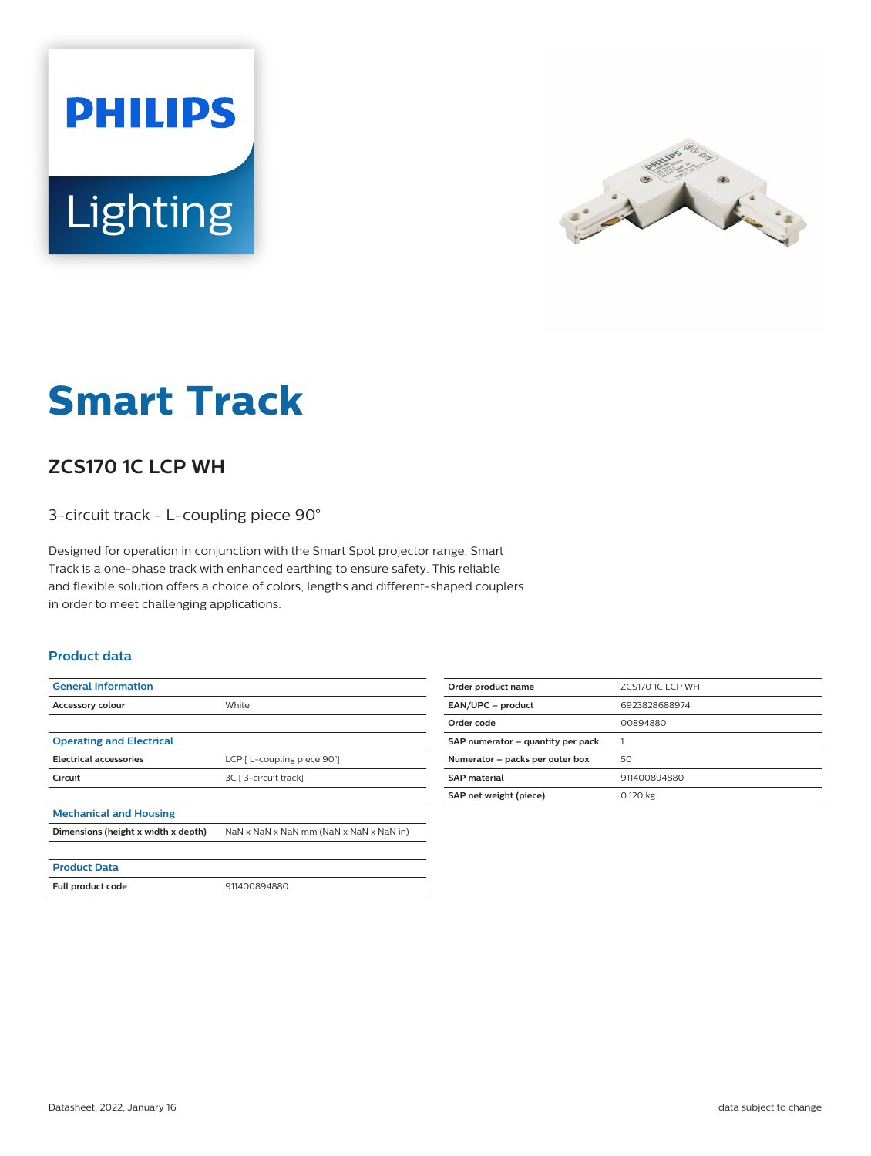



# **Smart Track**

## **ZCS170 1C LCP WH**

3-circuit track - L-coupling piece 90°

Designed for operation in conjunction with the Smart Spot projector range, Smart Track is a one-phase track with enhanced earthing to ensure safety. This reliable and flexible solution offers a choice of colors, lengths and different-shaped couplers in order to meet challenging applications.

#### **Product data**

| <b>General Information</b>          |                                         |
|-------------------------------------|-----------------------------------------|
| Accessory colour                    | White                                   |
|                                     |                                         |
| <b>Operating and Electrical</b>     |                                         |
| <b>Electrical accessories</b>       | LCP [ L-coupling piece 90°]             |
| Circuit                             | 3C [ 3-circuit track]                   |
|                                     |                                         |
| <b>Mechanical and Housing</b>       |                                         |
| Dimensions (height x width x depth) | NaN x NaN x NaN mm (NaN x NaN x NaN in) |
|                                     |                                         |
| <b>Product Data</b>                 |                                         |

| Order product name                | ZCS170 1CLCP WH |
|-----------------------------------|-----------------|
| EAN/UPC - product                 | 6923828688974   |
| Order code                        | 00894880        |
| SAP numerator - quantity per pack |                 |
| Numerator - packs per outer box   | 50              |
| <b>SAP</b> material               | 911400894880    |
| SAP net weight (piece)            | 0.120 kg        |
|                                   |                 |

**Full product code** 911400894880